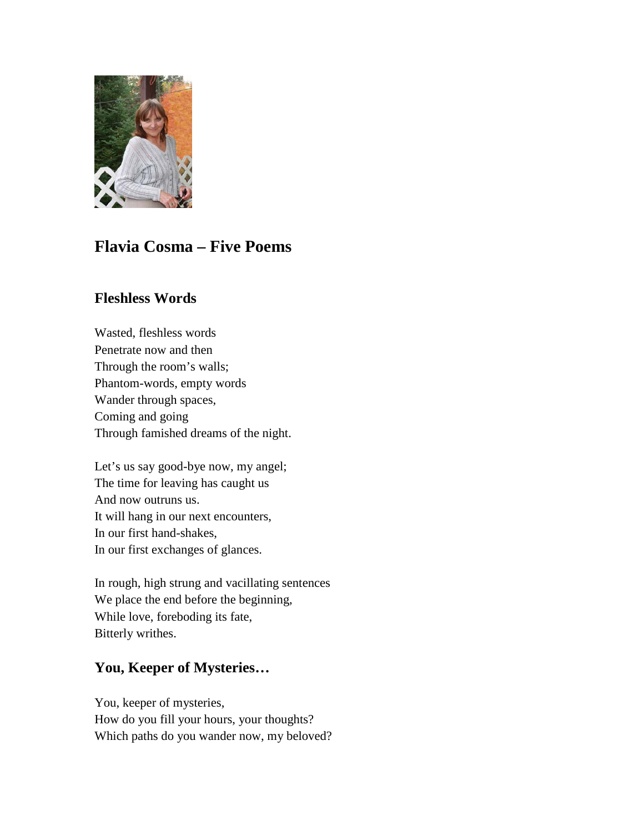

# **Flavia Cosma – Five Poems**

# **Fleshless Words**

Wasted, fleshless words Penetrate now and then Through the room's walls; Phantom-words, empty words Wander through spaces, Coming and going Through famished dreams of the night.

Let's us say good-bye now, my angel; The time for leaving has caught us And now outruns us. It will hang in our next encounters, In our first hand-shakes, In our first exchanges of glances.

In rough, high strung and vacillating sentences We place the end before the beginning, While love, foreboding its fate, Bitterly writhes.

# **You, Keeper of Mysteries…**

You, keeper of mysteries, How do you fill your hours, your thoughts? Which paths do you wander now, my beloved?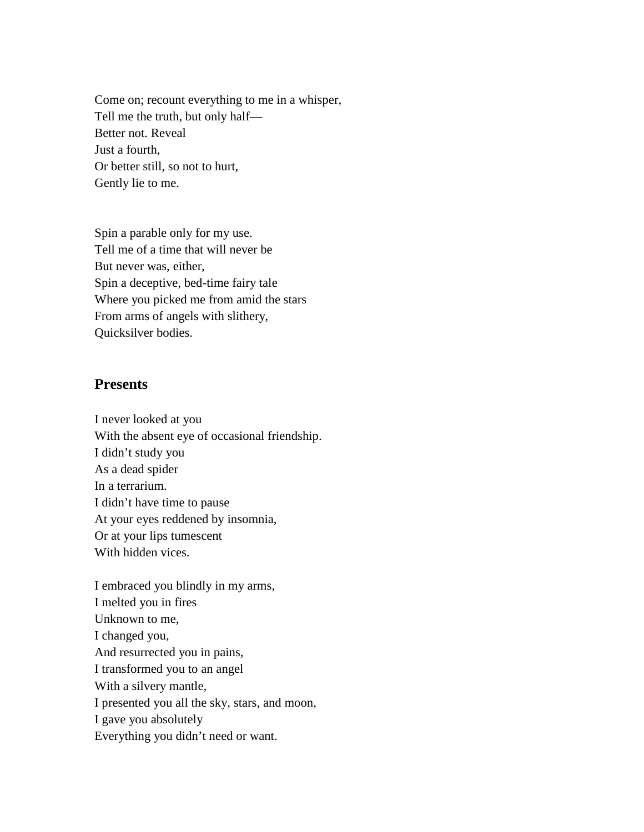Come on; recount everything to me in a whisper, Tell me the truth, but only half— Better not. Reveal Just a fourth, Or better still, so not to hurt, Gently lie to me.

Spin a parable only for my use. Tell me of a time that will never be But never was, either, Spin a deceptive, bed-time fairy tale Where you picked me from amid the stars From arms of angels with slithery, Quicksilver bodies.

#### **Presents**

I never looked at you With the absent eye of occasional friendship. I didn't study you As a dead spider In a terrarium. I didn't have time to pause At your eyes reddened by insomnia, Or at your lips tumescent With hidden vices.

I embraced you blindly in my arms, I melted you in fires Unknown to me, I changed you, And resurrected you in pains, I transformed you to an angel With a silvery mantle, I presented you all the sky, stars, and moon, I gave you absolutely Everything you didn't need or want.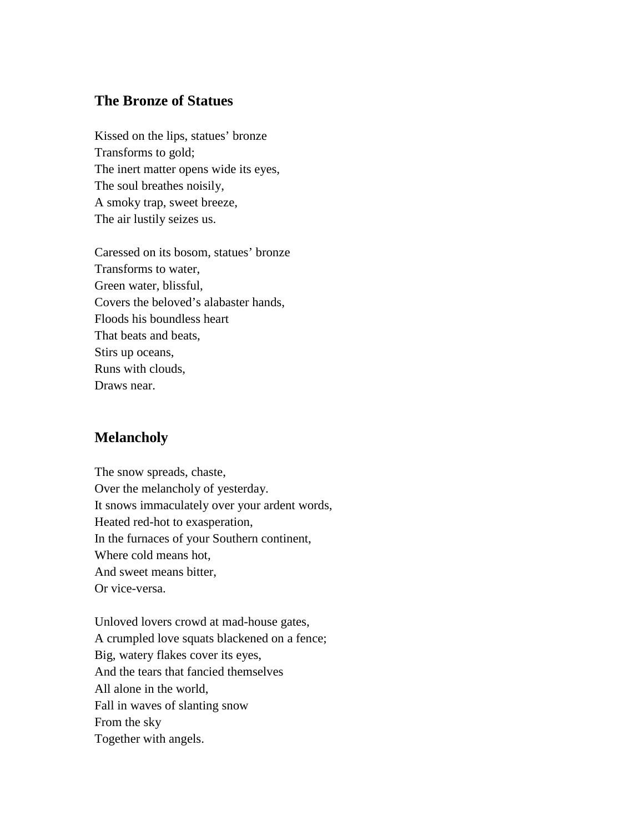## **The Bronze of Statues**

Kissed on the lips, statues' bronze Transforms to gold; The inert matter opens wide its eyes, The soul breathes noisily, A smoky trap, sweet breeze, The air lustily seizes us.

Caressed on its bosom, statues' bronze Transforms to water, Green water, blissful, Covers the beloved's alabaster hands, Floods his boundless heart That beats and beats, Stirs up oceans, Runs with clouds, Draws near.

### **Melancholy**

The snow spreads, chaste, Over the melancholy of yesterday. It snows immaculately over your ardent words, Heated red-hot to exasperation, In the furnaces of your Southern continent, Where cold means hot, And sweet means bitter, Or vice-versa.

Unloved lovers crowd at mad-house gates, A crumpled love squats blackened on a fence; Big, watery flakes cover its eyes, And the tears that fancied themselves All alone in the world, Fall in waves of slanting snow From the sky Together with angels.